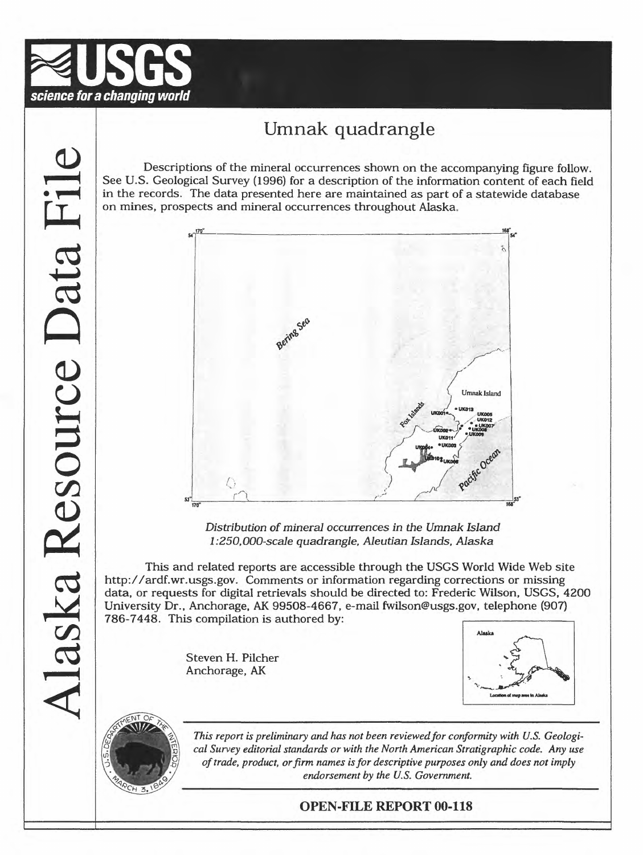

# Umnak quadrangle

Descriptions of the mineral occurrences shown on the accompanying figure follow. See U.S. Geological Survey (1996) for a description of the information content of each field in the records. The data presented here are maintained as part of a statewide database on mines, prospects and mineral occurrences throughout Alaska.



*Distribution of mineral occurrences in the Umnak Island 1:250, 000-scale quadrangle, Aleutian Islands, Alaska*

This and related reports are accessible through the USGS World Wide Web site http://ardf.wr.usgs.gov. Comments or information regarding corrections or missing data, or requests for digital retrievals should be directed to: Frederic Wilson, USGS, 4200 data, or requests for digital retrievals should be directed to: Frederic Wilson, OSGS, 42<br>University Dr., Anchorage, AK 99508-4667, e-mail fwilson@usgs.gov, telephone (907)<br>786-7448. This compilation is authored by:

> Steven H. Pilcher Anchorage, AK





This report is preliminary and has not been reviewed for conformity with U.S. Geologi $cal$  Survey editorial standards or with the North American Stratigraphic code. Any use *of trade, product, or firm names is for descriptive purposes only and does not imply \fr'\$&^^^/ endorsement by the U.S. Government.*

## OPEN-FILE REPORT 00-118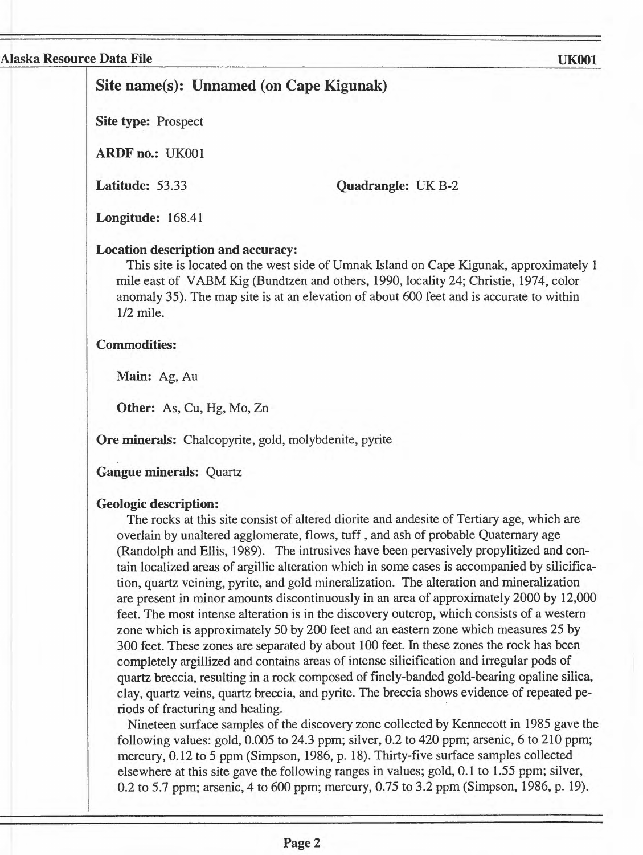## **Site name(s): Unnamed (on Cape Kigunak)**

**Site type:** Prospect

**ARDFno.:** UK001

**Latitude:** 53.33

**Quadrangle: UK B-2** 

**Longitude:** 168.41

#### **Location description and accuracy:**

This site is located on the west side of Umnak Island on Cape Kigunak, approximately 1 mile east of VABM Kig (Bundtzen and others, 1990, locality 24; Christie, 1974, color anomaly 35). The map site is at an elevation of about 600 feet and is accurate to within 1/2 mile.

#### **Commodities:**

**Main:** Ag, Au

**Other:** As, Cu, Hg, Mo, Zn

**Ore minerals:** Chalcopyrite, gold, molybdenite, pyrite

**Gangue minerals:** Quartz

#### **Geologic description:**

The rocks at this site consist of altered diorite and andesite of Tertiary age, which are overlain by unaltered agglomerate, flows, tuff, and ash of probable Quaternary age (Randolph and Ellis, 1989). The intrusives have been pervasively propylitized and contain localized areas of argillic alteration which in some cases is accompanied by silicification, quartz veining, pyrite, and gold mineralization. The alteration and mineralization are present in minor amounts discontinuously in an area of approximately 2000 by 12,000 feet. The most intense alteration is in the discovery outcrop, which consists of a western zone which is approximately 50 by 200 feet and an eastern zone which measures 25 by 300 feet. These zones are separated by about 100 feet. In these zones the rock has been completely argillized and contains areas of intense silicification and irregular pods of quartz breccia, resulting in a rock composed of finely-banded gold-bearing opaline silica, clay, quartz veins, quartz breccia, and pyrite. The breccia shows evidence of repeated periods of fracturing and healing.

Nineteen surface samples of the discovery zone collected by Kennecott in 1985 gave the following values: gold, 0.005 to 24.3 ppm; silver, 0.2 to 420 ppm; arsenic, 6 to 210 ppm; mercury, 0.12 to 5 ppm (Simpson, 1986, p. 18). Thirty-five surface samples collected elsewhere at this site gave the following ranges in values; gold, 0.1 to 1.55 ppm; silver, 0.2 to 5.7 ppm; arsenic, 4 to 600 ppm; mercury, 0.75 to 3.2 ppm (Simpson, 1986, p. 19).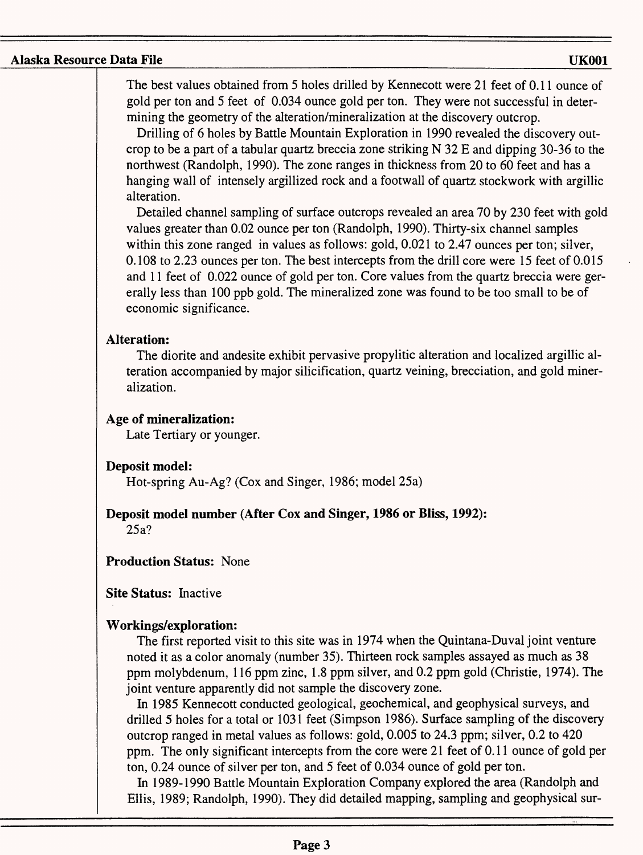The best values obtained from 5 holes drilled by Kennecott were 21 feet of 0.11 ounce of gold per ton and 5 feet of 0.034 ounce gold per ton. They were not successful in determining the geometry of the alteration/mineralization at the discovery outcrop.

Drilling of 6 holes by Battle Mountain Exploration in 1990 revealed the discovery outcrop to be a part of a tabular quartz breccia zone striking N 32 E and dipping 30-36 to the northwest (Randolph, 1990). The zone ranges in thickness from 20 to 60 feet and has a hanging wall of intensely argillized rock and a footwall of quartz stockwork with argillic alteration.

Detailed channel sampling of surface outcrops revealed an area 70 by 230 feet with gold values greater than 0.02 ounce per ton (Randolph, 1990). Thirty-six channel samples within this zone ranged in values as follows: gold, 0.021 to 2.47 ounces per ton; silver, 0.108 to 2.23 ounces per ton. The best intercepts from the drill core were 15 feet of 0.015 and 11 feet of 0.022 ounce of gold per ton. Core values from the quartz breccia were gererally less than 100 ppb gold. The mineralized zone was found to be too small to be of economic significance.

#### **Alteration:**

The diorite and andesite exhibit pervasive propylitic alteration and localized argillic alteration accompanied by major silicification, quartz veining, brecciation, and gold mineralization.

#### **Age of mineralization:**

Late Tertiary or younger.

## **Deposit model:**

Hot-spring Au-Ag? (Cox and Singer, 1986; model 25a)

## **Deposit model number (After Cox and Singer, 1986 or Bliss, 1992):**

25a?

## **Production Status:** None

**Site Status:** Inactive

## **Workings/exploration:**

The first reported visit to this site was in 1974 when the Quintana-Duval joint venture noted it as a color anomaly (number 35). Thirteen rock samples assayed as much as 38 ppm molybdenum, 116 ppm zinc, 1.8 ppm silver, and 0.2 ppm gold (Christie, 1974). The joint venture apparently did not sample the discovery zone.

In 1985 Kennecott conducted geological, geochemical, and geophysical surveys, and drilled 5 holes for a total or 1031 feet (Simpson 1986). Surface sampling of the discovery outcrop ranged in metal values as follows: gold, 0.005 to 24.3 ppm; silver, 0.2 to 420 ppm. The only significant intercepts from the core were 21 feet of 0.11 ounce of gold per ton, 0.24 ounce of silver per ton, and 5 feet of 0.034 ounce of gold per ton.

In 1989-1990 Battle Mountain Exploration Company explored the area (Randolph and Ellis, 1989; Randolph, 1990). They did detailed mapping, sampling and geophysical sur-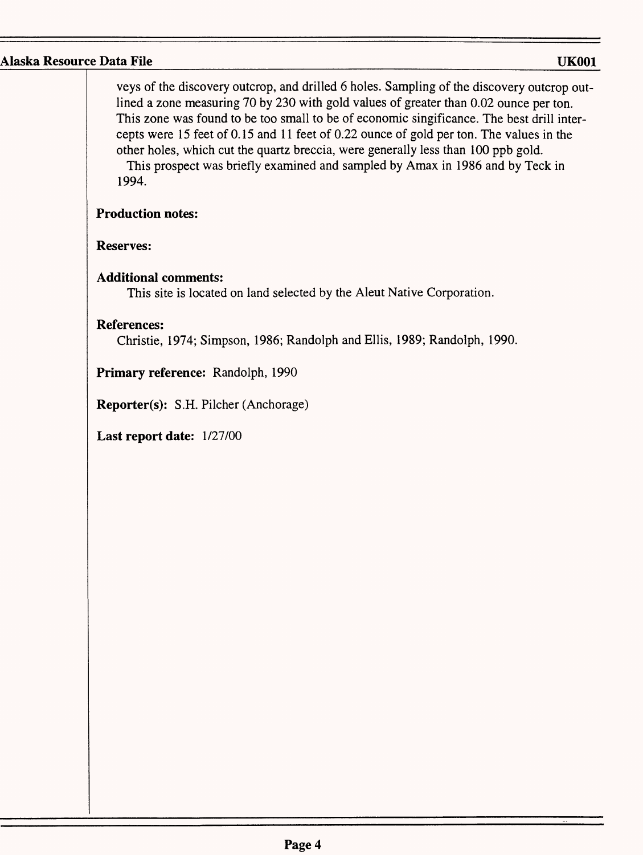veys of the discovery outcrop, and drilled 6 holes. Sampling of the discovery outcrop outlined a zone measuring 70 by 230 with gold values of greater than 0.02 ounce per ton. This zone was found to be too small to be of economic singificance. The best drill intercepts were 15 feet of 0.15 and 11 feet of 0.22 ounce of gold per ton. The values in the other holes, which cut the quartz breccia, were generally less than 100 ppb gold. This prospect was briefly examined and sampled by Amax in 1986 and by Teck in 1994.

## **Production notes:**

## **Reserves:**

## **Additional comments:**

This site is located on land selected by the Aleut Native Corporation.

## **References:**

Christie, 1974; Simpson, 1986; Randolph and Ellis, 1989; Randolph, 1990.

**Primary reference:** Randolph, 1990

**Reporter(s):** S.H. Pilcher (Anchorage)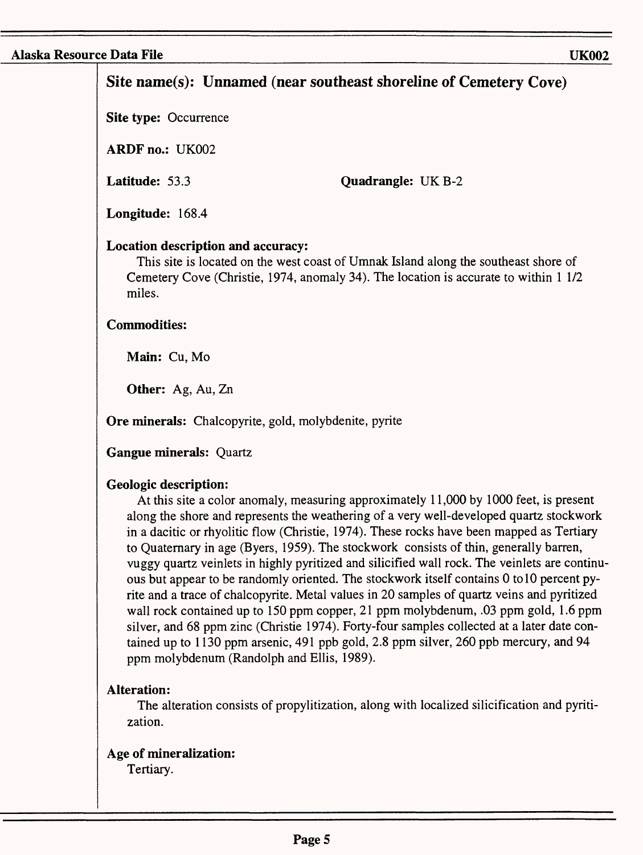# **Site name(s): Unnamed (near southeast shoreline of Cemetery Cove) Site type: Occurrence ARDF** no.: UK002 **Latitude:** 53.3 **Longitude:** 168.4 **Quadrangle:** UK B-2 **Location description and accuracy:** This site is located on the west coast of Umnak Island along the southeast shore of Cemetery Cove (Christie, 1974, anomaly 34). The location is accurate to within 1 1/2 miles. **Commodities: Main:** Cu, Mo **Other:** Ag, Au, Zn **Ore minerals:** Chalcopyrite, gold, molybdenite, pyrite **Gangue minerals:** Quartz **Geologic description:** At this site a color anomaly, measuring approximately 11,000 by 1000 feet, is present along the shore and represents the weathering of a very well-developed quartz stockwork in a dacitic or rhyolitic flow (Christie, 1974). These rocks have been mapped as Tertiary to Quaternary in age (Byers, 1959). The stockwork consists of thin, generally barren, vuggy quartz veinlets in highly pyritized and silicified wall rock. The veinlets are continuous but appear to be randomly oriented. The stockwork itself contains 0 to 10 percent pyrite and a trace of chalcopyrite. Metal values in 20 samples of quartz veins and pyritized wall rock contained up to 150 ppm copper, 21 ppm molybdenum, .03 ppm gold, 1.6 ppm silver, and 68 ppm zinc (Christie 1974). Forty-four samples collected at a later date contained up to 1130 ppm arsenic, 491 ppb gold, 2.8 ppm silver, 260 ppb mercury, and 94 ppm molybdenum (Randolph and Ellis, 1989). **Alteration:** The alteration consists of propylitization, along with localized silicification and pyritization. **Age of mineralization:** Tertiary.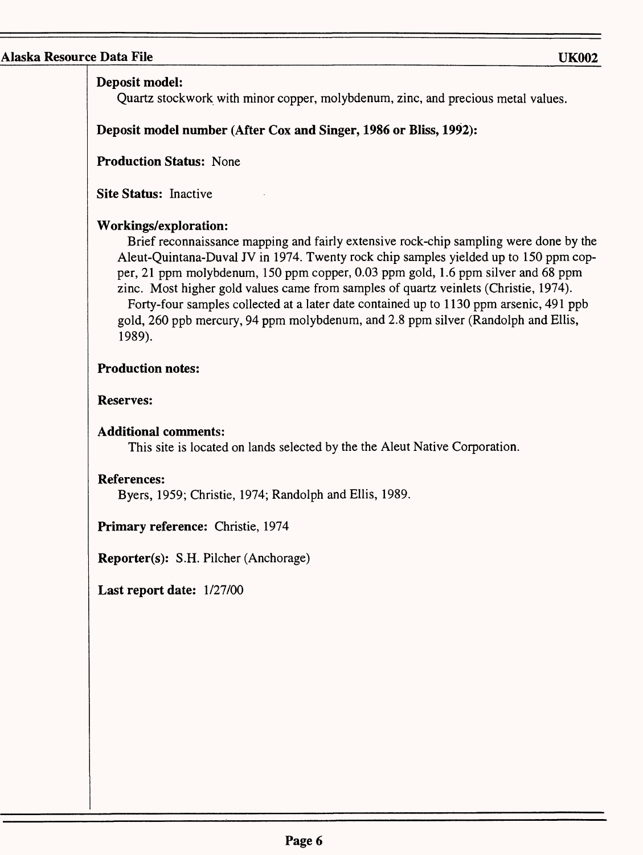## **Deposit model:**

Quartz stockwork with minor copper, molybdenum, zinc, and precious metal values.

## **Deposit model number (After Cox and Singer, 1986 or Bliss, 1992):**

**Production Status:** None

**Site Status:** Inactive

## **Workings/exploration:**

Brief reconnaissance mapping and fairly extensive rock-chip sampling were done by the Aleut-Quintana-Duval JV in 1974. Twenty rock chip samples yielded up to 150 ppm copper, 21 ppm molybdenum, 150 ppm copper, 0.03 ppm gold, 1.6 ppm silver and 68 ppm zinc. Most higher gold values came from samples of quartz veinlets (Christie, 1974). Forty-four samples collected at a later date contained up to 1130 ppm arsenic, 491 ppb gold, 260 ppb mercury, 94 ppm molybdenum, and 2.8 ppm silver (Randolph and Ellis, 1989).

## **Production notes:**

**Reserves:**

## **Additional comments:**

This site is located on lands selected by the the Aleut Native Corporation.

## **References:**

Byers, 1959; Christie, 1974; Randolph and Ellis, 1989.

**Primary reference:** Christie, 1974

**Reporter(s):** S.H. Pilcher (Anchorage)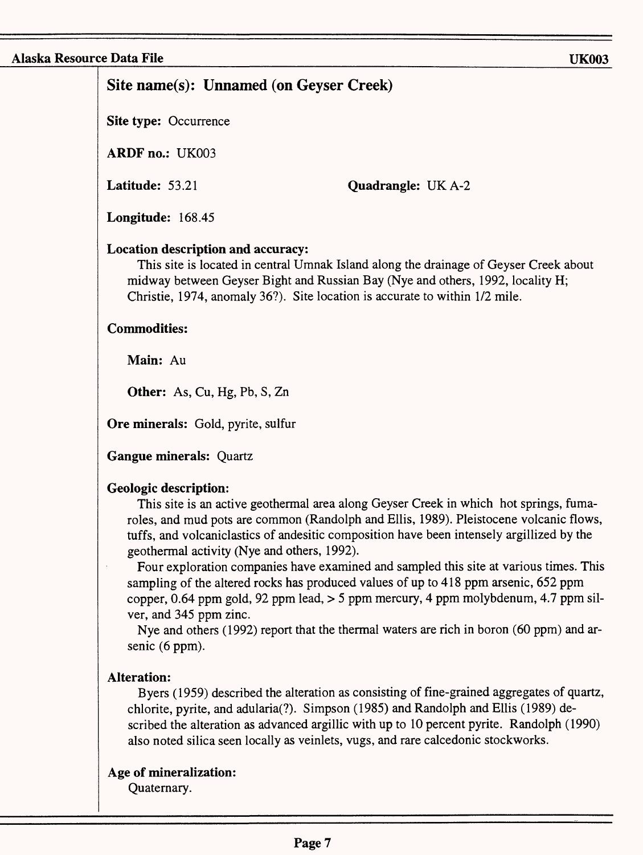# **Site name(s): Unnamed (on Geyser Creek)**

**Site type:** Occurrence

**ARDF** no.: UK003

**Latitude:** 53.21

**Quadrangle: UKA-2** 

**Longitude:** 168.45

## **Location description and accuracy:**

This site is located in central Umnak Island along the drainage of Geyser Creek about midway between Geyser Bight and Russian Bay (Nye and others, 1992, locality H; Christie, 1974, anomaly 36?). Site location is accurate to within 1/2 mile.

## **Commodities:**

**Main: Au**

**Other: As,** Cu, Hg, **Pb, S, Zn** 

**Ore minerals:** Gold, pyrite, sulfur

**Gangue minerals:** Quartz

## **Geologic description:**

This site is an active geothermal area along Geyser Creek in which hot springs, fumaroles, and mud pots are common (Randolph and Ellis, 1989). Pleistocene volcanic flows, tuffs, and volcaniclastics of andesitic composition have been intensely argillized by the geothermal activity (Nye and others, 1992).

Four exploration companies have examined and sampled this site at various times. This sampling of the altered rocks has produced values of up to 418 ppm arsenic, 652 ppm copper, 0.64 ppm gold, 92 ppm lead,  $>$  5 ppm mercury, 4 ppm molybdenum, 4.7 ppm silver, and 345 ppm zinc.

Nye and others (1992) report that the thermal waters are rich in boron (60 ppm) and arsenic (6 ppm).

## **Alteration:**

Byers (1959) described the alteration as consisting of fine-grained aggregates of quartz, chlorite, pyrite, and adularia(?). Simpson (1985) and Randolph and Ellis (1989) described the alteration as advanced argillic with up to 10 percent pyrite. Randolph (1990) also noted silica seen locally as veinlets, vugs, and rare calcedonic stockworks.

## **Age of mineralization:**

Quaternary.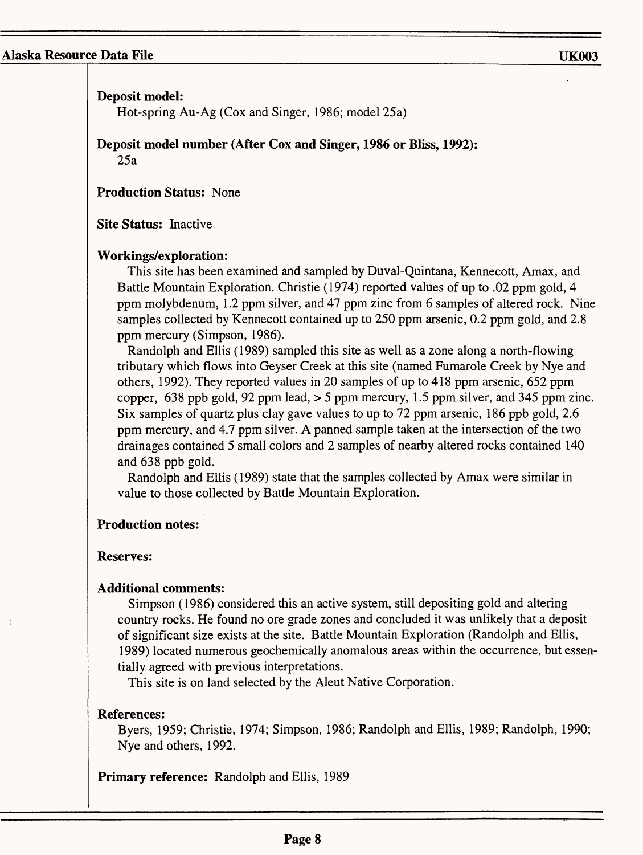**Deposit model:**

Hot-spring Au-Ag (Cox and Singer, 1986; model 25a)

**Deposit model number (After Cox and Singer, 1986 or Bliss, 1992):** 25a

**Production Status:** None

**Site Status:** Inactive

#### **Workings/exploration:**

This site has been examined and sampled by Duval-Quintana, Kennecott, Amax, and Battle Mountain Exploration. Christie (1974) reported values of up to .02 ppm gold, 4 ppm molybdenum, 1.2 ppm silver, and 47 ppm zinc from 6 samples of altered rock. Nine samples collected by Kennecott contained up to 250 ppm arsenic, 0.2 ppm gold, and 2.8 ppm mercury (Simpson, 1986).

Randolph and Ellis (1989) sampled this site as well as a zone along a north-flowing tributary which flows into Geyser Creek at this site (named Fumarole Creek by Nye and others, 1992). They reported values in 20 samples of up to 418 ppm arsenic, 652 ppm copper, 638 ppb gold, 92 ppm lead,  $>$  5 ppm mercury, 1.5 ppm silver, and 345 ppm zinc. Six samples of quartz plus clay gave values to up to 72 ppm arsenic, 186 ppb gold, 2.6 ppm mercury, and 4.7 ppm silver. A panned sample taken at the intersection of the two drainages contained 5 small colors and 2 samples of nearby altered rocks contained 140 and 638 ppb gold.

Randolph and Ellis (1989) state that the samples collected by Amax were similar in value to those collected by Battle Mountain Exploration.

#### **Production notes:**

#### **Reserves:**

## **Additional comments:**

Simpson (1986) considered this an active system, still depositing gold and altering country rocks. He found no ore grade zones and concluded it was unlikely that a deposit of significant size exists at the site. Battle Mountain Exploration (Randolph and Ellis, 1989) located numerous geochemically anomalous areas within the occurrence, but essentially agreed with previous interpretations.

This site is on land selected by the Aleut Native Corporation.

## **References:**

Byers, 1959; Christie, 1974; Simpson, 1986; Randolph and Ellis, 1989; Randolph, 1990; Nye and others, 1992.

**Primary reference:** Randolph and Ellis, 1989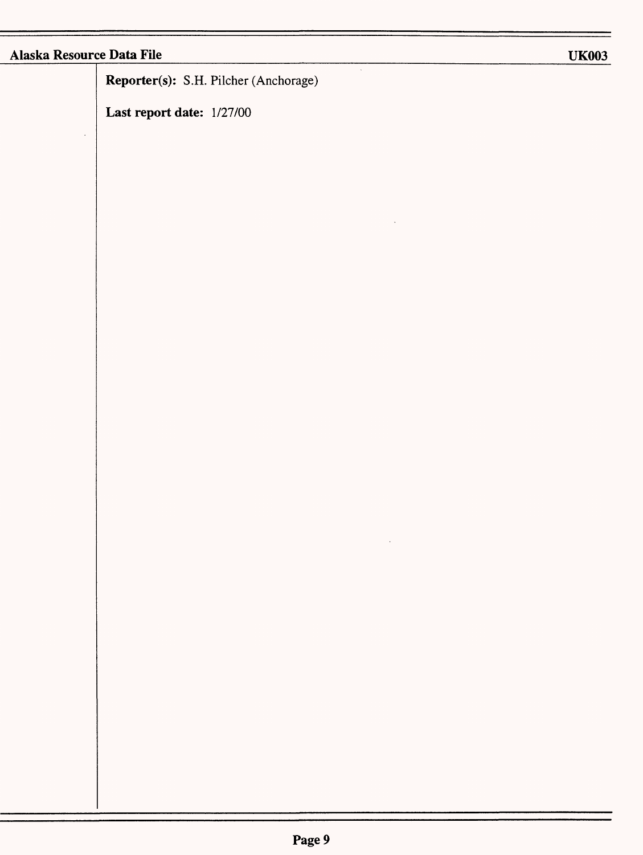**Reporter(s):** S.H. Pilcher (Anchorage)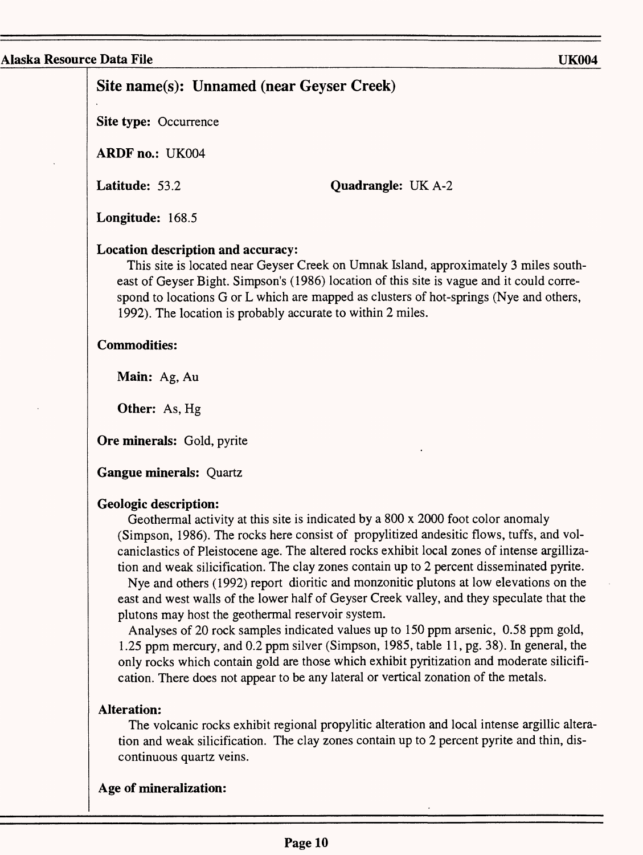## **Site name(s): Unnamed (near Geyser Creek)**

**Site type:** Occurrence

**ARDFno.:** UK004

**Latitude:** 53.2

**Quadrangle: UK A-2** 

**Longitude:** 168.5

#### **Location description and accuracy:**

This site is located near Geyser Creek on Umnak Island, approximately 3 miles southeast of Geyser Bight. Simpson's (1986) location of this site is vague and it could correspond to locations G or L which are mapped as clusters of hot-springs (Nye and others, 1992). The location is probably accurate to within 2 miles.

#### **Commodities:**

**Main:** Ag, Au

**Other:** As, Hg

**Ore minerals:** Gold, pyrite

**Gangue minerals:** Quartz

#### **Geologic description:**

Geothermal activity at this site is indicated by a 800 x 2000 foot color anomaly (Simpson, 1986). The rocks here consist of propylitized andesitic flows, tuffs, and volcaniclastics of Pleistocene age. The altered rocks exhibit local zones of intense argillization and weak silicification. The clay zones contain up to 2 percent disseminated pyrite.

Nye and others (1992) report dioritic and monzonitic plutons at low elevations on the east and west walls of the lower half of Geyser Creek valley, and they speculate that the plutons may host the geothermal reservoir system.

Analyses of 20 rock samples indicated values up to 150 ppm arsenic, 0.58 ppm gold, 1.25 ppm mercury, and 0.2 ppm silver (Simpson, 1985, table 11, pg. 38). In general, the only rocks which contain gold are those which exhibit pyritization and moderate silicification. There does not appear to be any lateral or vertical zonation of the metals.

#### **Alteration:**

The volcanic rocks exhibit regional propylitic alteration and local intense argillic alteration and weak silicification. The clay zones contain up to 2 percent pyrite and thin, discontinuous quartz veins.

## **Age of mineralization:**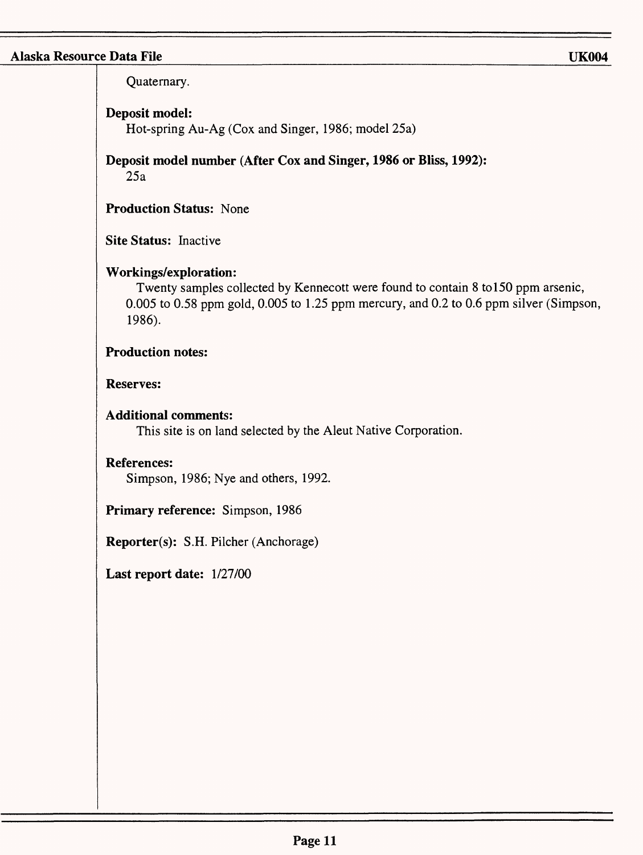Quaternary.

## **Deposit model:**

Hot-spring Au-Ag (Cox and Singer, 1986; model 25a)

**Deposit model number (After Cox and Singer, 1986 or Bliss, 1992):**

25a

**Production Status:** None

**Site Status:** Inactive

## **Workings/exploration:**

Twenty samples collected by Kennecott were found to contain 8 to 150 ppm arsenic, 0.005 to 0.58 ppm gold, 0.005 to 1.25 ppm mercury, and 0.2 to 0.6 ppm silver (Simpson, 1986).

## **Production notes:**

#### **Reserves:**

## **Additional comments:**

This site is on land selected by the Aleut Native Corporation.

## **References:**

Simpson, 1986; Nye and others, 1992.

**Primary reference:** Simpson, 1986

**Reporter(s):** S.H. Pilcher (Anchorage)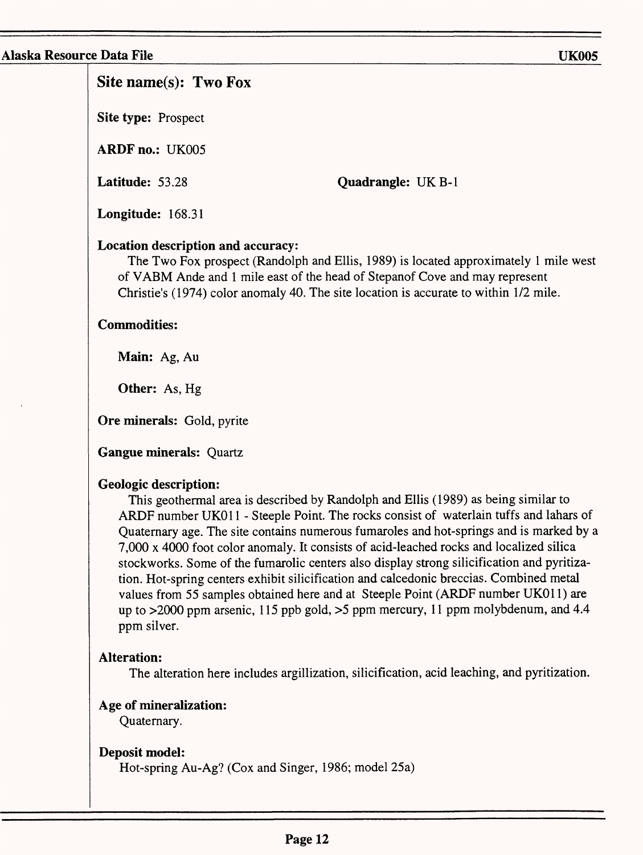# Site name(s): Two Fox

**Site type:** Prospect

**ARDF no.:** UK005

**Latitude:** 53.28

**Quadrangle: UK B-1** 

**Longitude:** 168.31

## **Location description and accuracy:**

The Two Fox prospect (Randolph and Ellis, 1989) is located approximately 1 mile west of VABM Ande and 1 mile east of the head of Stepanof Cove and may represent Christie's (1974) color anomaly 40. The site location is accurate to within 1/2 mile.

## **Commodities:**

**Main:** Ag, Au

**Other:** As, Hg

**Ore minerals:** Gold, pyrite

**Gangue minerals:** Quartz

## **Geologic description:**

This geothermal area is described by Randolph and Ellis (1989) as being similar to ARDF number UK011 - Steeple Point. The rocks consist of waterlain tuffs and lahars of Quaternary age. The site contains numerous fumaroles and hot-springs and is marked by a 7,000 x 4000 foot color anomaly. It consists of acid-leached rocks and localized silica stockworks. Some of the fumarolic centers also display strong silicification and pyritization. Hot-spring centers exhibit silicification and calcedonic breccias. Combined metal values from 55 samples obtained here and at Steeple Point (ARDF number UKOl 1) are up to >2000 ppm arsenic, 115 ppb gold, >5 ppm mercury, 11 ppm molybdenum, and 4.4 ppm silver.

# **Alteration:**

The alteration here includes argillization, silicification, acid leaching, and pyritization.

# **Age of mineralization:**

Quaternary.

## **Deposit model:**

Hot-spring Au-Ag? (Cox and Singer, 1986; model 25a)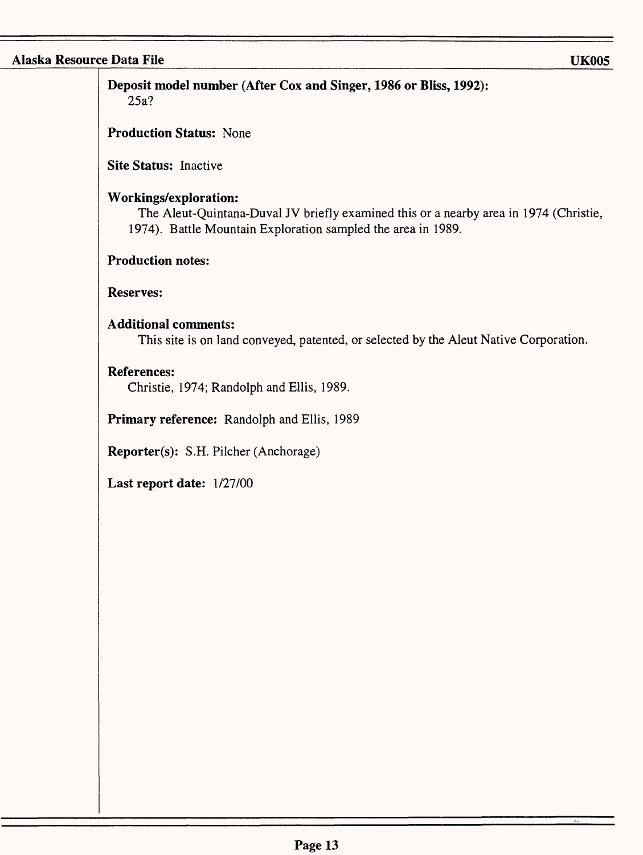**Deposit model number (After Cox and Singer, 1986 or Bliss, 1992):** 25a?

**Production Status:** None

**Site Status:** Inactive

#### **Workings/exploration:**

The Aleut-Quintana-Duval JV briefly examined this or a nearby area in 1974 (Christie, 1974). Battle Mountain Exploration sampled the area in 1989.

## **Production notes:**

#### **Reserves:**

#### **Additional comments:**

This site is on land conveyed, patented, or selected by the Aleut Native Corporation.

#### **References:**

Christie, 1974; Randolph and Ellis, 1989.

**Primary reference:** Randolph and Ellis, 1989

**Reporter(s):** S.H. Pilcher (Anchorage)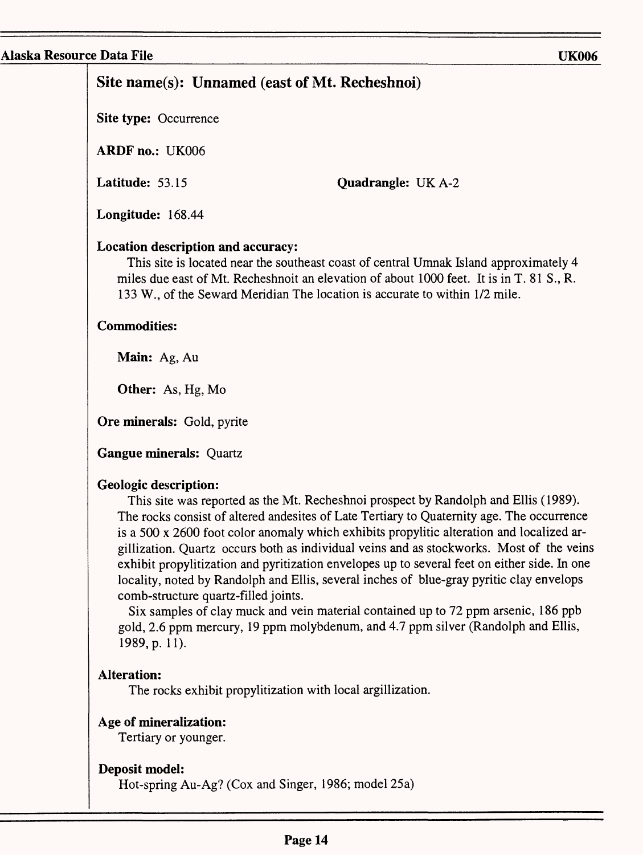# **Site name(s): Unnamed** (east **of Mt. Recheshnoi)**

**Site type:** Occurrence

**ARDFno.:** UK006

**Latitude:** 53.15

**Quadrangle:** UKA-2

**Longitude:** 168.44

## **Location description and accuracy:**

This site is located near the southeast coast of central Umnak Island approximately 4 miles due east of Mt. Recheshnoit an elevation of about 1000 feet. It is in T. 81 S., R. 133 W., of the Seward Meridian The location is accurate to within 1/2 mile.

## **Commodities:**

**Main:** Ag, Au

**Other:** As, Hg, Mo

**Ore minerals:** Gold, pyrite

**Gangue minerals:** Quartz

## **Geologic description:**

This site was reported as the Mt. Recheshnoi prospect by Randolph and Ellis (1989). The rocks consist of altered andesites of Late Tertiary to Quaternity age. The occurrence is a 500 x 2600 foot color anomaly which exhibits propylitic alteration and localized argillization. Quartz occurs both as individual veins and as stockworks. Most of the veins exhibit propylitization and pyritization envelopes up to several feet on either side. In one locality, noted by Randolph and Ellis, several inches of blue-gray pyritic clay envelops comb-structure quartz-filled joints.

Six samples of clay muck and vein material contained up to 72 ppm arsenic, 186 ppb gold, 2.6 ppm mercury, 19 ppm molybdenum, and 4.7 ppm silver (Randolph and Ellis, 1989, p. 11).

# **Alteration:**

The rocks exhibit propylitization with local argillization.

# **Age of mineralization:**

Tertiary or younger.

# **Deposit model:**

Hot-spring Au-Ag? (Cox and Singer, 1986; model 25a)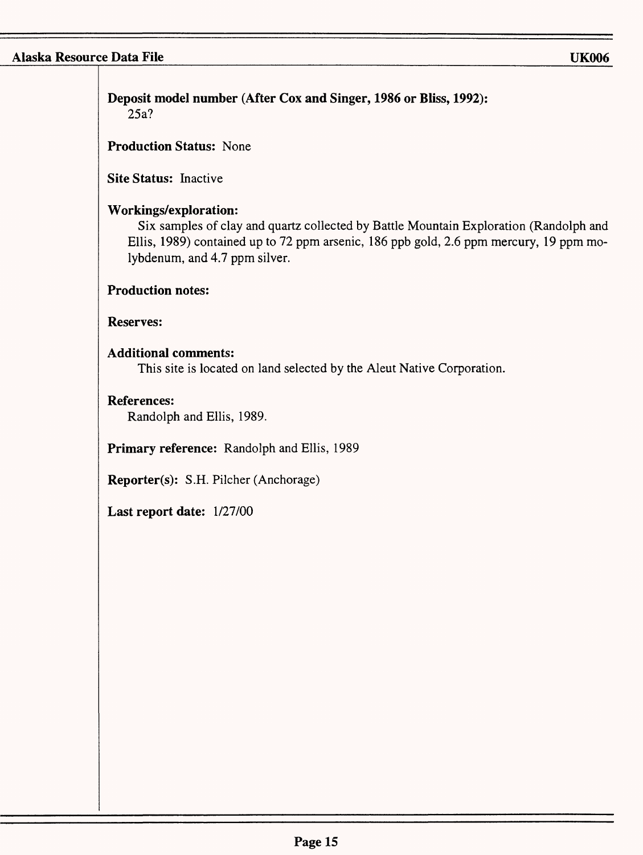т

| <b>Production Status: None</b><br>Site Status: Inactive<br>Workings/exploration:<br>Six samples of clay and quartz collected by Battle Mountain Exploration (Randolph and<br>Ellis, 1989) contained up to 72 ppm arsenic, 186 ppb gold, 2.6 ppm mercury, 19 ppm mo-<br>lybdenum, and 4.7 ppm silver.<br><b>Production notes:</b><br><b>Reserves:</b><br><b>Additional comments:</b><br>This site is located on land selected by the Aleut Native Corporation.<br><b>References:</b><br>Randolph and Ellis, 1989.<br>Primary reference: Randolph and Ellis, 1989<br>Reporter(s): S.H. Pilcher (Anchorage)<br>Last report date: 1/27/00 |
|---------------------------------------------------------------------------------------------------------------------------------------------------------------------------------------------------------------------------------------------------------------------------------------------------------------------------------------------------------------------------------------------------------------------------------------------------------------------------------------------------------------------------------------------------------------------------------------------------------------------------------------|
|                                                                                                                                                                                                                                                                                                                                                                                                                                                                                                                                                                                                                                       |
|                                                                                                                                                                                                                                                                                                                                                                                                                                                                                                                                                                                                                                       |
|                                                                                                                                                                                                                                                                                                                                                                                                                                                                                                                                                                                                                                       |
|                                                                                                                                                                                                                                                                                                                                                                                                                                                                                                                                                                                                                                       |
|                                                                                                                                                                                                                                                                                                                                                                                                                                                                                                                                                                                                                                       |
|                                                                                                                                                                                                                                                                                                                                                                                                                                                                                                                                                                                                                                       |
|                                                                                                                                                                                                                                                                                                                                                                                                                                                                                                                                                                                                                                       |
|                                                                                                                                                                                                                                                                                                                                                                                                                                                                                                                                                                                                                                       |
|                                                                                                                                                                                                                                                                                                                                                                                                                                                                                                                                                                                                                                       |
|                                                                                                                                                                                                                                                                                                                                                                                                                                                                                                                                                                                                                                       |
|                                                                                                                                                                                                                                                                                                                                                                                                                                                                                                                                                                                                                                       |
|                                                                                                                                                                                                                                                                                                                                                                                                                                                                                                                                                                                                                                       |
|                                                                                                                                                                                                                                                                                                                                                                                                                                                                                                                                                                                                                                       |
|                                                                                                                                                                                                                                                                                                                                                                                                                                                                                                                                                                                                                                       |
|                                                                                                                                                                                                                                                                                                                                                                                                                                                                                                                                                                                                                                       |
|                                                                                                                                                                                                                                                                                                                                                                                                                                                                                                                                                                                                                                       |
|                                                                                                                                                                                                                                                                                                                                                                                                                                                                                                                                                                                                                                       |
|                                                                                                                                                                                                                                                                                                                                                                                                                                                                                                                                                                                                                                       |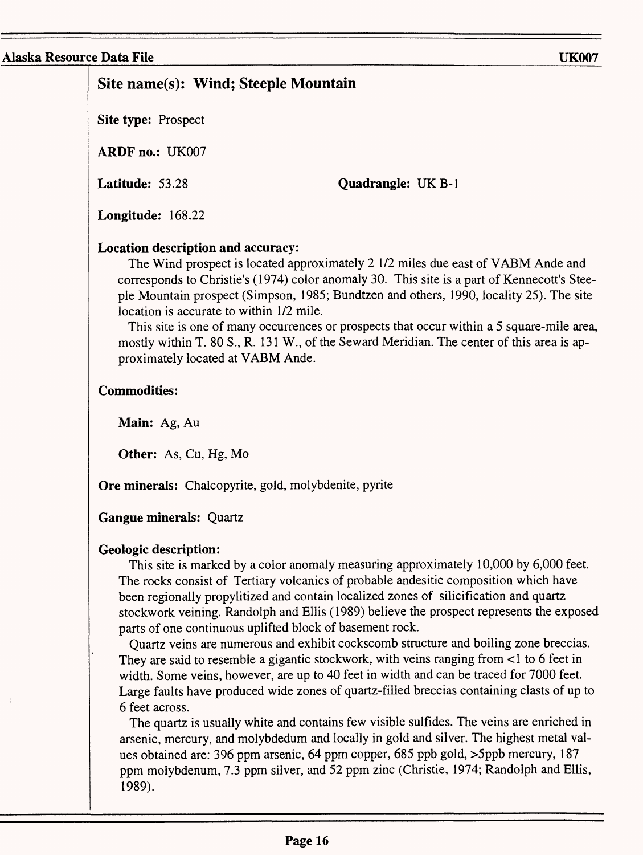# **Site name(s): Wind; Steeple Mountain**

**Site type:** Prospect

**ARDF** no.: UK007

**Latitude:** 53.28

**Quadrangle:** UK B-1

**Longitude:** 168.22

## **Location description and accuracy:**

The Wind prospect is located approximately 2 1/2 miles due east of VABM Ande and corresponds to Christie's (1974) color anomaly 30. This site is a part of Kennecott's Steeple Mountain prospect (Simpson, 1985; Bundtzen and others, 1990, locality 25). The site location is accurate to within 1/2 mile.

This site is one of many occurrences or prospects that occur within a 5 square-mile area, mostly within T. 80 S., R. 131 W., of the Seward Meridian. The center of this area is approximately located at VABM Ande.

## **Commodities:**

**Main:** Ag, Au

Other: As, Cu, Hg, Mo

**Ore minerals:** Chalcopyrite, gold, molybdenite, pyrite

# **Gangue minerals:** Quartz

# **Geologic description:**

This site is marked by a color anomaly measuring approximately 10,000 by 6,000 feet. The rocks consist of Tertiary volcanics of probable andesitic composition which have been regionally propylitized and contain localized zones of silicification and quartz stockwork veining. Randolph and Ellis (1989) believe the prospect represents the exposed parts of one continuous uplifted block of basement rock.

Quartz veins are numerous and exhibit cockscomb structure and boiling zone breccias. They are said to resemble a gigantic stockwork, with veins ranging from <1 to 6 feet in width. Some veins, however, are up to 40 feet in width and can be traced for 7000 feet. Large faults have produced wide zones of quartz-filled breccias containing clasts of up to 6 feet across.

The quartz is usually white and contains few visible sulfides. The veins are enriched in arsenic, mercury, and molybdedum and locally in gold and silver. The highest metal values obtained are: 396 ppm arsenic, 64 ppm copper, 685 ppb gold, >5ppb mercury, 187 ppm molybdenum, 7.3 ppm silver, and 52 ppm zinc (Christie, 1974; Randolph and Ellis, 1989).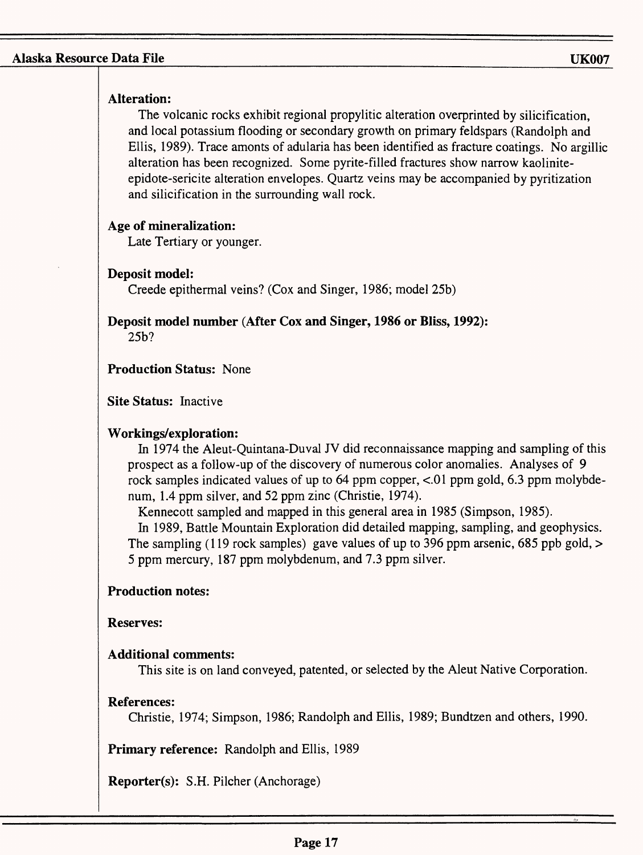## **Alteration:**

The volcanic rocks exhibit regional propylitic alteration overprinted by silicification, and local potassium flooding or secondary growth on primary feldspars (Randolph and Ellis, 1989). Trace amonts of adularia has been identified as fracture coatings. No argillic alteration has been recognized. Some pyrite-filled fractures show narrow kaoliniteepidote-sericite alteration envelopes. Quartz veins may be accompanied by pyritization and silicification in the surrounding wall rock.

## **Age of mineralization:**

Late Tertiary or younger.

## **Deposit model:**

Creede epithermal veins? (Cox and Singer, 1986; model 25b)

**Deposit model number (After Cox and Singer, 1986 or Bliss, 1992):**

25b?

**Production Status:** None

**Site Status:** Inactive

## **Workings/exploration:**

In 1974 the Aleut-Quintana-Duval JV did reconnaissance mapping and sampling of this prospect as a follow-up of the discovery of numerous color anomalies. Analyses of 9 rock samples indicated values of up to 64 ppm copper, <.01 ppm gold, 6.3 ppm molybdenum, 1.4 ppm silver, and 52 ppm zinc (Christie, 1974).

Kennecott sampled and mapped in this general area in 1985 (Simpson, 1985). In 1989, Battle Mountain Exploration did detailed mapping, sampling, and geophysics. The sampling (119 rock samples) gave values of up to 396 ppm arsenic, 685 ppb gold, > 5 ppm mercury, 187 ppm molybdenum, and 7.3 ppm silver.

## **Production notes:**

**Reserves:**

## **Additional comments:**

This site is on land conveyed, patented, or selected by the Aleut Native Corporation.

## **References:**

Christie, 1974; Simpson, 1986; Randolph and Ellis, 1989; Bundtzen and others, 1990.

**Primary reference:** Randolph and Ellis, 1989

**Reporter(s):** S.H. Pilcher (Anchorage)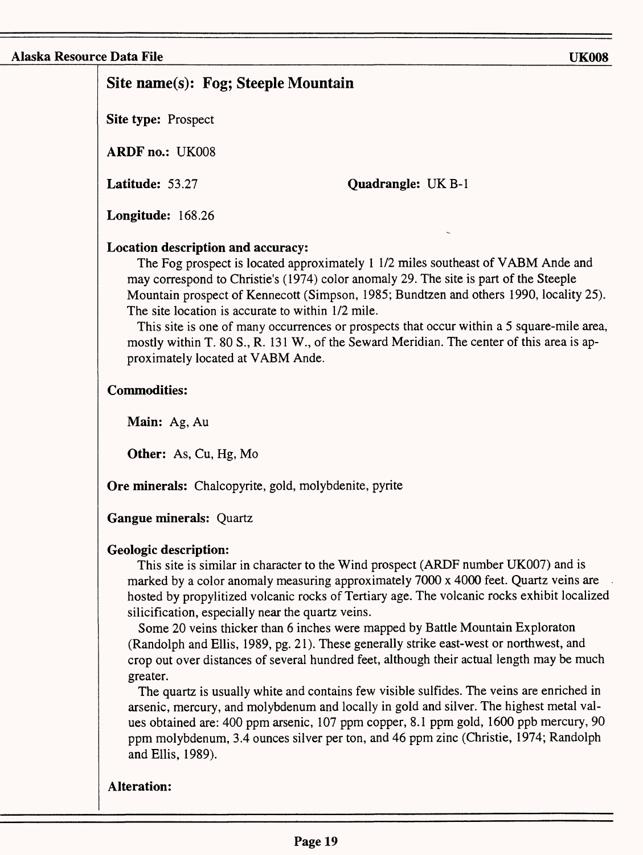# **Site name(s): Fog; Steeple Mountain**

**Site type: Prospect** 

**ARDF** no.: UK008

**Latitude:** 53.27

**Quadrangle: UK B-1** 

**Longitude:** 168.26

## **Location description and accuracy:**

The Fog prospect is located approximately 1 1/2 miles southeast of VABM Ande and may correspond to Christie's (1974) color anomaly 29. The site is part of the Steeple Mountain prospect of Kennecott (Simpson, 1985; Bundtzen and others 1990, locality 25). The site location is accurate to within 1/2 mile.

This site is one of many occurrences or prospects that occur within a 5 square-mile area, mostly within T. 80 S., R. 131 W., of the Seward Meridian. The center of this area is approximately located at VABM Ande.

## **Commodities:**

**Main:** Ag, Au

**Other:** As, Cu, Hg, Mo

**Ore minerals:** Chalcopyrite, gold, molybdenite, pyrite

## **Gangue minerals:** Quartz

## **Geologic description:**

This site is similar in character to the Wind prospect (ARDF number UK007) and is marked by a color anomaly measuring approximately 7000 x 4000 feet. Quartz veins are hosted by propylitized volcanic rocks of Tertiary age. The volcanic rocks exhibit localized silicification, especially near the quartz veins.

Some 20 veins thicker than 6 inches were mapped by Battle Mountain Exploraton (Randolph and Ellis, 1989, pg. 21). These generally strike east-west or northwest, and crop out over distances of several hundred feet, although their actual length may be much greater.

The quartz is usually white and contains few visible sulfides. The veins are enriched in arsenic, mercury, and molybdenum and locally in gold and silver. The highest metal values obtained are: 400 ppm arsenic, 107 ppm copper, 8.1 ppm gold, 1600 ppb mercury, 90 ppm molybdenum, 3.4 ounces silver per ton, and 46 ppm zinc (Christie, 1974; Randolph and Ellis, 1989).

## **Alteration:**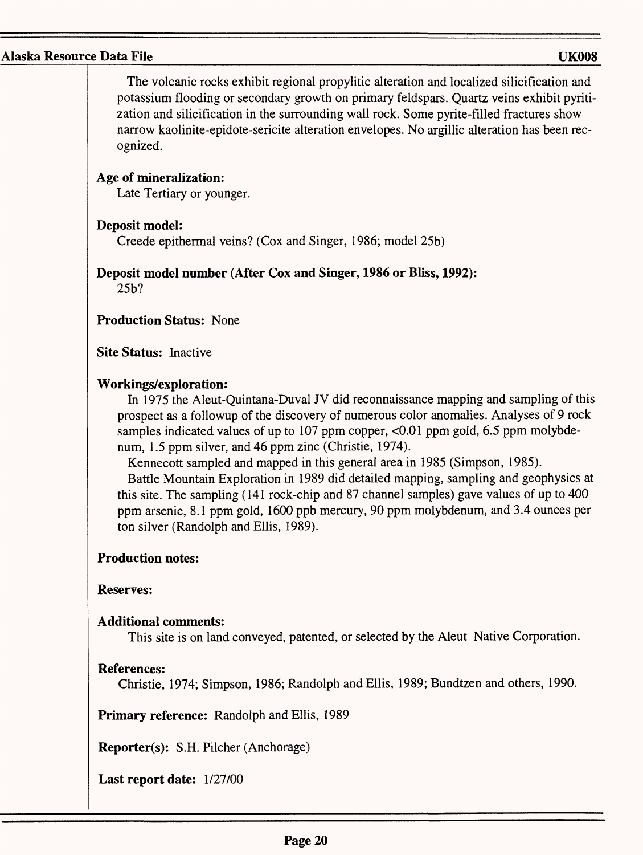The volcanic rocks exhibit regional propylitic alteration and localized silicification and potassium flooding or secondary growth on primary feldspars. Quartz veins exhibit pyritization and silicification in the surrounding wall rock. Some pyrite-filled fractures show narrow kaolinite-epidote-sericite alteration envelopes. No argillic alteration has been recognized.

## **Age of mineralization:**

Late Tertiary or younger.

## **Deposit model:**

Creede epithermal veins? (Cox and Singer, 1986; model 25b)

# **Deposit model number (After Cox and Singer, 1986 or Bliss, 1992):**

25b?

## **Production Status:** None

**Site Status:** Inactive

## **Workings/exploration:**

In 1975 the Aleut-Quintana-Duval JV did reconnaissance mapping and sampling of this prospect as a foliowup of the discovery of numerous color anomalies. Analyses of 9 rock samples indicated values of up to 107 ppm copper, <0.01 ppm gold, 6.5 ppm molybdenum, 1.5 ppm silver, and 46 ppm zinc (Christie, 1974).

Kennecott sampled and mapped in this general area in 1985 (Simpson, 1985).

Battle Mountain Exploration in 1989 did detailed mapping, sampling and geophysics at this site. The sampling (141 rock-chip and 87 channel samples) gave values of up to 400 ppm arsenic, 8.1 ppm gold, 1600 ppb mercury, 90 ppm molybdenum, and 3.4 ounces per ton silver (Randolph and Ellis, 1989).

## **Production notes:**

## **Reserves:**

## **Additional comments:**

This site is on land conveyed, patented, or selected by the Aleut Native Corporation.

## **References:**

Christie, 1974; Simpson, 1986; Randolph and Ellis, 1989; Bundtzen and others, 1990.

**Primary reference:** Randolph and Ellis, 1989

**Reporter(s):** S.H. Pilcher (Anchorage)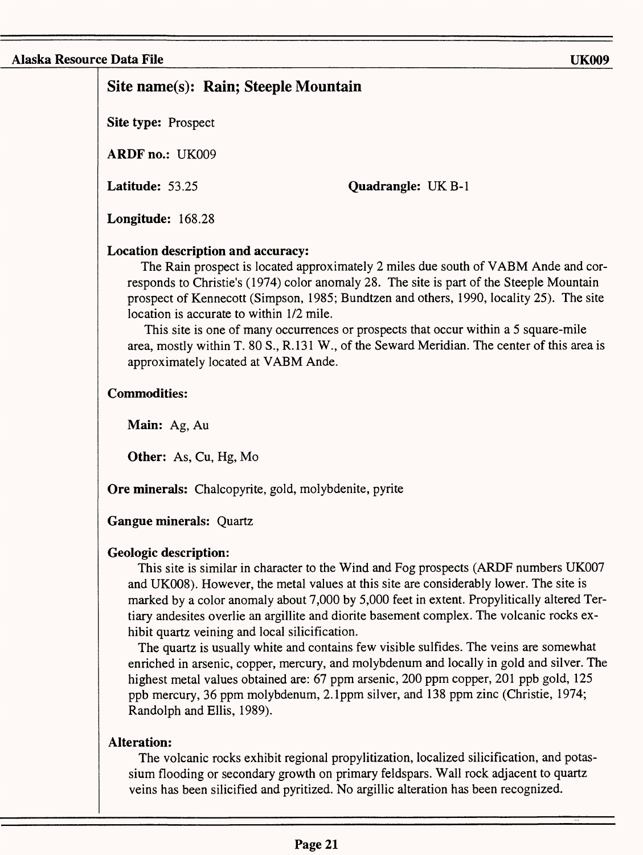# **Site name(s): Rain; Steeple Mountain**

**Site type:** Prospect

**ARDF** no.: UK009

**Latitude:** 53.25

**Quadrangle: UK B-1** 

**Longitude:** 168.28

## **Location description and accuracy:**

The Rain prospect is located approximately 2 miles due south of VABM Ande and corresponds to Christie's (1974) color anomaly 28. The site is part of the Steeple Mountain prospect of Kennecott (Simpson, 1985; Bundtzen and others, 1990, locality 25). The site location is accurate to within 1/2 mile.

This site is one of many occurrences or prospects that occur within a 5 square-mile area, mostly within T. 80 S., R.131 W., of the Seward Meridian. The center of this area is approximately located at VABM Ande.

## **Commodities:**

**Main:** Ag, Au

**Other:** As, Cu, Hg, Mo

**Ore minerals:** Chalcopyrite, gold, molybdenite, pyrite

## **Gangue minerals:** Quartz

## **Geologic description:**

This site is similar in character to the Wind and Fog prospects (ARDF numbers UK007 and UK008). However, the metal values at this site are considerably lower. The site is marked by a color anomaly about 7,000 by 5,000 feet in extent. Propylitically altered Tertiary andesites overlie an argillite and diorite basement complex. The volcanic rocks exhibit quartz veining and local silicification.

The quartz is usually white and contains few visible sulfides. The veins are somewhat enriched in arsenic, copper, mercury, and molybdenum and locally in gold and silver. The highest metal values obtained are: 67 ppm arsenic, 200 ppm copper, 201 ppb gold, 125 ppb mercury, 36 ppm molybdenum, 2.1ppm silver, and 138 ppm zinc (Christie, 1974; Randolph and Ellis, 1989).

## **Alteration:**

The volcanic rocks exhibit regional propylitization, localized silicification, and potassium flooding or secondary growth on primary feldspars. Wall rock adjacent to quartz veins has been silicified and pyritized. No argillic alteration has been recognized.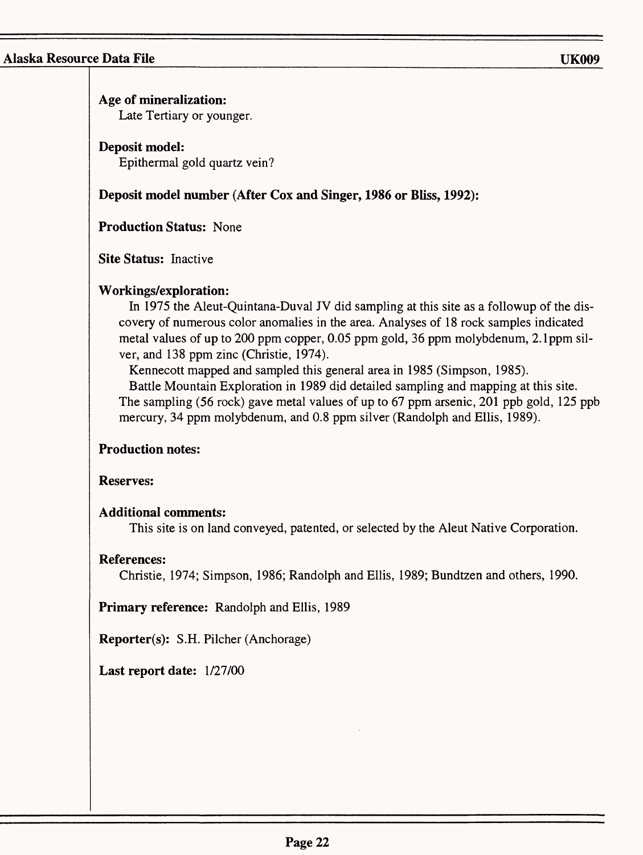| Age of mineralization:<br>Late Tertiary or younger.                                                                                                                                                                                                                                                                                                                                                                                                                                                                                                                                                                                                                                     |
|-----------------------------------------------------------------------------------------------------------------------------------------------------------------------------------------------------------------------------------------------------------------------------------------------------------------------------------------------------------------------------------------------------------------------------------------------------------------------------------------------------------------------------------------------------------------------------------------------------------------------------------------------------------------------------------------|
| Deposit model:<br>Epithermal gold quartz vein?                                                                                                                                                                                                                                                                                                                                                                                                                                                                                                                                                                                                                                          |
| Deposit model number (After Cox and Singer, 1986 or Bliss, 1992):                                                                                                                                                                                                                                                                                                                                                                                                                                                                                                                                                                                                                       |
| <b>Production Status: None</b>                                                                                                                                                                                                                                                                                                                                                                                                                                                                                                                                                                                                                                                          |
| <b>Site Status: Inactive</b>                                                                                                                                                                                                                                                                                                                                                                                                                                                                                                                                                                                                                                                            |
| Workings/exploration:<br>In 1975 the Aleut-Quintana-Duval JV did sampling at this site as a followup of the dis-<br>covery of numerous color anomalies in the area. Analyses of 18 rock samples indicated<br>metal values of up to 200 ppm copper, 0.05 ppm gold, 36 ppm molybdenum, 2.1 ppm sil-<br>ver, and 138 ppm zinc (Christie, 1974).<br>Kennecott mapped and sampled this general area in 1985 (Simpson, 1985).<br>Battle Mountain Exploration in 1989 did detailed sampling and mapping at this site.<br>The sampling (56 rock) gave metal values of up to 67 ppm arsenic, 201 ppb gold, 125 ppb<br>mercury, 34 ppm molybdenum, and 0.8 ppm silver (Randolph and Ellis, 1989). |
| <b>Production notes:</b>                                                                                                                                                                                                                                                                                                                                                                                                                                                                                                                                                                                                                                                                |
| <b>Reserves:</b>                                                                                                                                                                                                                                                                                                                                                                                                                                                                                                                                                                                                                                                                        |
| <b>Additional comments:</b><br>This site is on land conveyed, patented, or selected by the Aleut Native Corporation.                                                                                                                                                                                                                                                                                                                                                                                                                                                                                                                                                                    |
| <b>References:</b><br>Christie, 1974; Simpson, 1986; Randolph and Ellis, 1989; Bundtzen and others, 1990.                                                                                                                                                                                                                                                                                                                                                                                                                                                                                                                                                                               |
| Primary reference: Randolph and Ellis, 1989                                                                                                                                                                                                                                                                                                                                                                                                                                                                                                                                                                                                                                             |
| Reporter(s): S.H. Pilcher (Anchorage)                                                                                                                                                                                                                                                                                                                                                                                                                                                                                                                                                                                                                                                   |
| Last report date: 1/27/00                                                                                                                                                                                                                                                                                                                                                                                                                                                                                                                                                                                                                                                               |
|                                                                                                                                                                                                                                                                                                                                                                                                                                                                                                                                                                                                                                                                                         |
|                                                                                                                                                                                                                                                                                                                                                                                                                                                                                                                                                                                                                                                                                         |
|                                                                                                                                                                                                                                                                                                                                                                                                                                                                                                                                                                                                                                                                                         |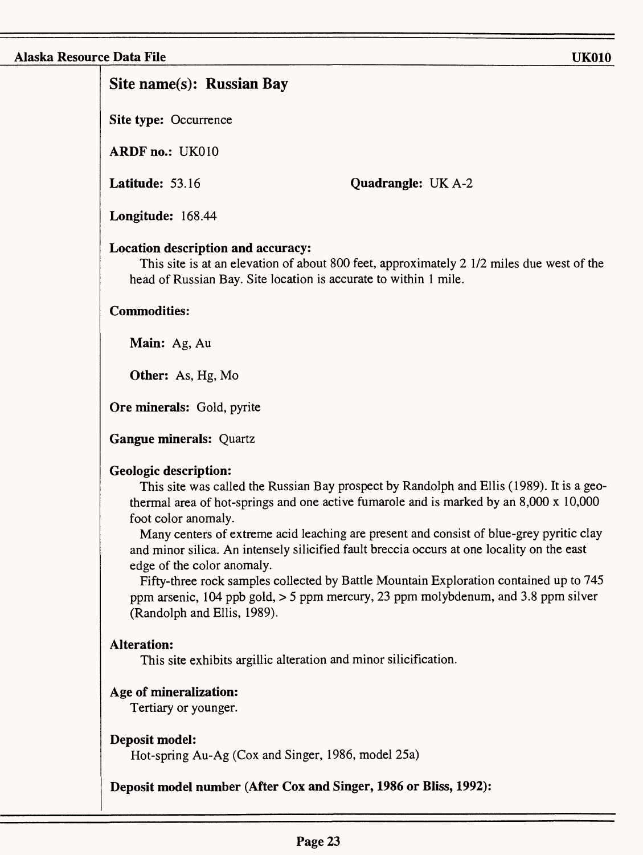# **Site name(s): Russian Bay**

**Site type:** Occurrence

**ARDF** no.: UK010

**Latitude:** 53.16

**Quadrangle:** UKA-2

**Longitude:** 168.44

## **Location description and accuracy:**

This site is at an elevation of about 800 feet, approximately 2 1/2 miles due west of the head of Russian Bay. Site location is accurate to within 1 mile.

## **Commodities:**

**Main:** Ag, Au

**Other:** As, Hg, Mo

**Ore minerals:** Gold, pyrite

**Gangue minerals:** Quartz

## **Geologic description:**

This site was called the Russian Bay prospect by Randolph and Ellis (1989). It is a geothermal area of hot-springs and one active fumarole and is marked by an 8,000 x 10,000 foot color anomaly.

Many centers of extreme acid leaching are present and consist of blue-grey pyritic clay and minor silica. An intensely silicified fault breccia occurs at one locality on the east edge of the color anomaly.

Fifty-three rock samples collected by Battle Mountain Exploration contained up to 745 ppm arsenic, 104 ppb gold, > 5 ppm mercury, 23 ppm molybdenum, and 3.8 ppm silver (Randolph and Ellis, 1989).

## **Alteration:**

This site exhibits argillic alteration and minor silicification.

## **Age of mineralization:**

Tertiary or younger.

**Deposit model:**

Hot-spring Au-Ag (Cox and Singer, 1986, model 25a)

**Deposit model number (After Cox and Singer, 1986 or Bliss, 1992):**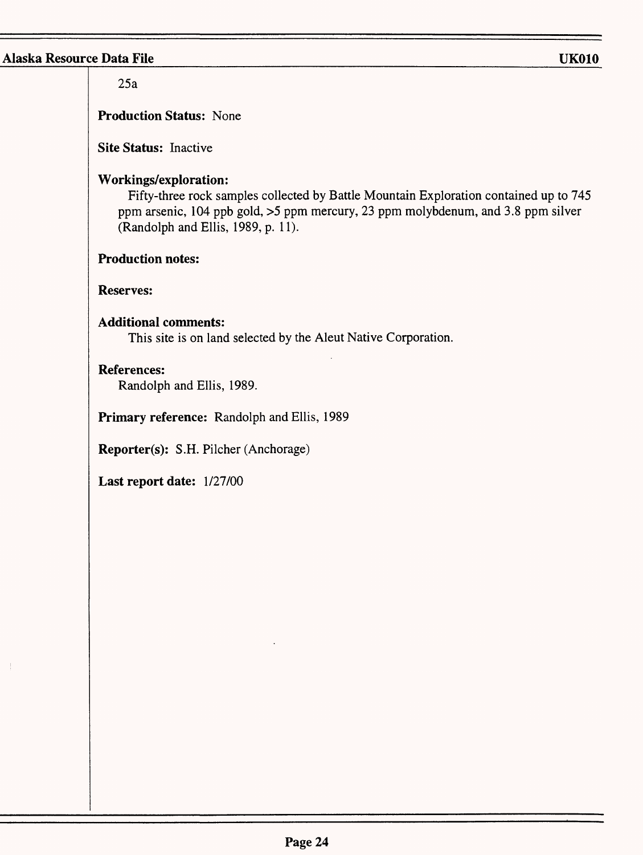$\mathcal{I}$ 

| 25a                                                                                                                                                                                                                                             |
|-------------------------------------------------------------------------------------------------------------------------------------------------------------------------------------------------------------------------------------------------|
| <b>Production Status: None</b>                                                                                                                                                                                                                  |
| Site Status: Inactive                                                                                                                                                                                                                           |
| <b>Workings/exploration:</b><br>Fifty-three rock samples collected by Battle Mountain Exploration contained up to 745<br>ppm arsenic, 104 ppb gold, >5 ppm mercury, 23 ppm molybdenum, and 3.8 ppm silver<br>(Randolph and Ellis, 1989, p. 11). |
| <b>Production notes:</b>                                                                                                                                                                                                                        |
| <b>Reserves:</b>                                                                                                                                                                                                                                |
| <b>Additional comments:</b><br>This site is on land selected by the Aleut Native Corporation.                                                                                                                                                   |
| <b>References:</b><br>Randolph and Ellis, 1989.                                                                                                                                                                                                 |
| Primary reference: Randolph and Ellis, 1989                                                                                                                                                                                                     |
| Reporter(s): S.H. Pilcher (Anchorage)                                                                                                                                                                                                           |
| Last report date: 1/27/00                                                                                                                                                                                                                       |
|                                                                                                                                                                                                                                                 |
|                                                                                                                                                                                                                                                 |
|                                                                                                                                                                                                                                                 |
|                                                                                                                                                                                                                                                 |
|                                                                                                                                                                                                                                                 |
|                                                                                                                                                                                                                                                 |
|                                                                                                                                                                                                                                                 |
|                                                                                                                                                                                                                                                 |
|                                                                                                                                                                                                                                                 |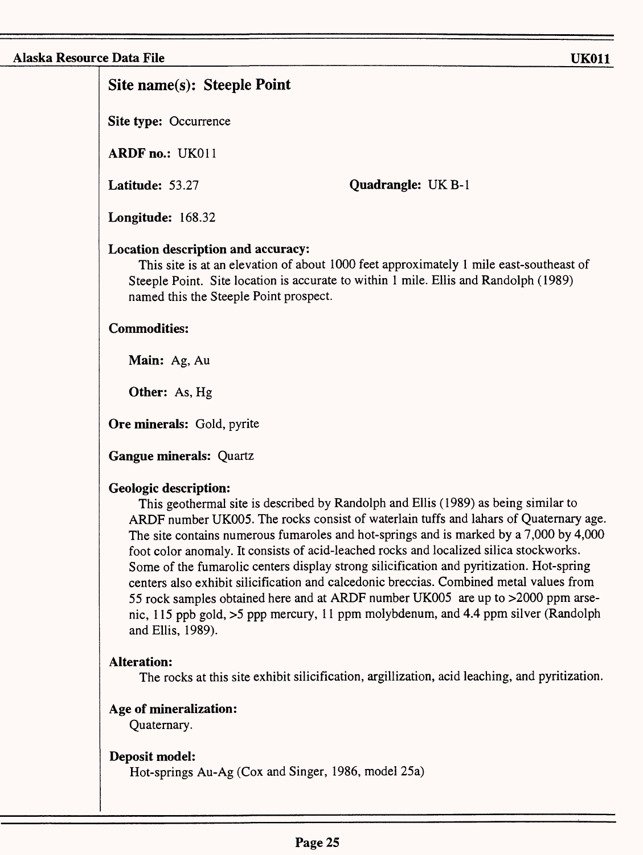# **Site name(s): Steeple Point**

**Site type:** Occurrence

**ARDF no.:** UK011

**Latitude:** 53.27

**Quadrangle: UK B-1** 

**Longitude:** 168.32

## **Location description and accuracy:**

This site is at an elevation of about 1000 feet approximately 1 mile east-southeast of Steeple Point. Site location is accurate to within 1 mile. Ellis and Randolph (1989) named this the Steeple Point prospect.

## **Commodities:**

**Main:** Ag, Au

**Other:** As, Hg

**Ore minerals:** Gold, pyrite

**Gangue minerals:** Quartz

# **Geologic description:**

This geothermal site is described by Randolph and Ellis (1989) as being similar to ARDF number UK005. The rocks consist of waterlain tuffs and lahars of Quaternary age. The site contains numerous fumaroles and hot-springs and is marked by a 7,000 by 4,000 foot color anomaly. It consists of acid-leached rocks and localized silica stockworks. Some of the fumarolic centers display strong silicification and pyritization. Hot-spring centers also exhibit silicification and calcedonic breccias. Combined metal values from 55 rock samples obtained here and at ARDF number UK005 are up to >2000 ppm arsenic, 115 ppb gold, >5 ppp mercury, 11 ppm molybdenum, and 4.4 ppm silver (Randolph and Ellis, 1989).

# **Alteration:**

The rocks at this site exhibit silicification, argillization, acid leaching, and pyritization.

# **Age of mineralization:**

Quaternary.

## **Deposit model:**

Hot-springs Au-Ag (Cox and Singer, 1986, model 25a)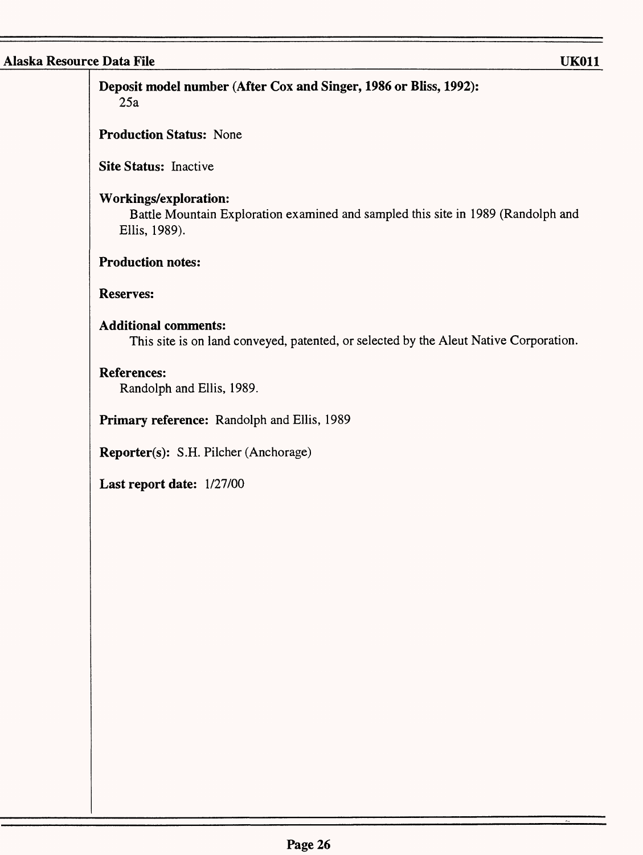**Deposit model number (After Cox and Singer, 1986 or Bliss, 1992): 25a**

**Production Status:** None

**Site Status:** Inactive

#### **Workings/exploration:**

Battle Mountain Exploration examined and sampled this site in 1989 (Randolph and Ellis, 1989).

## **Production notes:**

## **Reserves:**

## **Additional comments:**

This site is on land conveyed, patented, or selected by the Aleut Native Corporation.

## **References:**

Randolph and Ellis, 1989.

**Primary reference:** Randolph and Ellis, 1989

**Reporter(s):** S.H. Pilcher (Anchorage)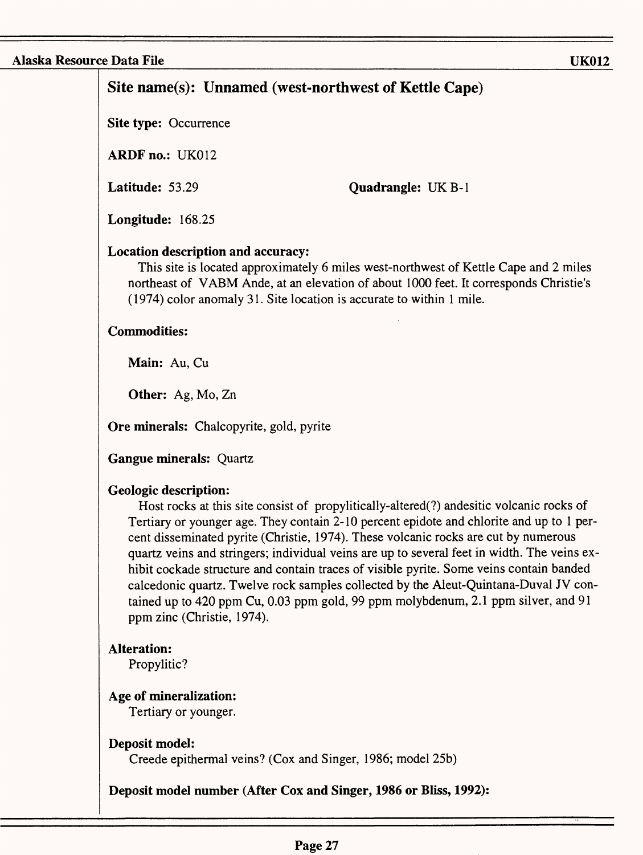# **Site name(s): Unnamed (west-northwest of Kettle Cape)**

**Site type:** Occurrence

**ARDF** no.: UK012

**Latitude:** 53.29

**Quadrangle: UK B-1** 

**Longitude:** 168.25

#### **Location description and accuracy:**

This site is located approximately 6 miles west-northwest of Kettle Cape and 2 miles northeast of VABM Ande, at an elevation of about 1000 feet. It corresponds Christie's (1974) color anomaly 31. Site location is accurate to within 1 mile.

#### **Commodities:**

**Main:** Au, Cu

**Other:** Ag, Mo, Zn

**Ore minerals:** Chalcopyrite, gold, pyrite

**Gangue minerals:** Quartz

#### **Geologic description:**

Host rocks at this site consist of propylitically-altered(?) andesitic volcanic rocks of Tertiary or younger age. They contain 2-10 percent epidote and chlorite and up to 1 percent disseminated pyrite (Christie, 1974). These volcanic rocks are cut by numerous quartz veins and stringers; individual veins are up to several feet in width. The veins exhibit cockade structure and contain traces of visible pyrite. Some veins contain banded calcedonic quartz. Twelve rock samples collected by the Aleut-Quintana-Duval JV contained up to 420 ppm Cu, 0.03 ppm gold, 99 ppm molybdenum, 2.1 ppm silver, and 91 ppm zinc (Christie, 1974).

## **Alteration:**

Propylitic?

## **Age of mineralization:**

Tertiary or younger.

## **Deposit model:**

Creede epithermal veins? (Cox and Singer, 1986; model 25b)

**Deposit model number (After Cox and Singer, 1986 or Bliss, 1992):**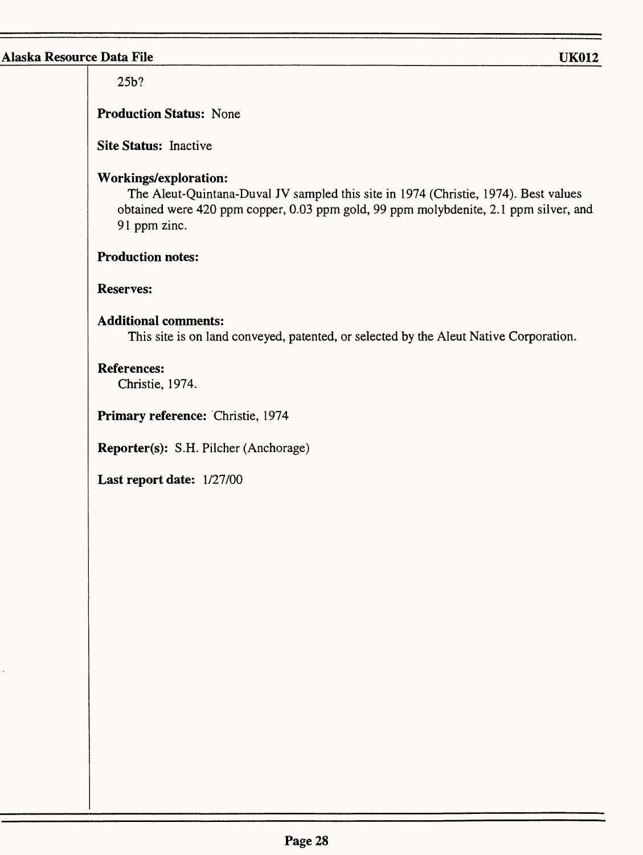25b?

**Production Status:** None

**Site Status:** Inactive

## **Workings/exploration:**

The Aleut-Quintana-Duval JV sampled this site in 1974 (Christie, 1974). Best values obtained were 420 ppm copper, 0.03 ppm gold, 99 ppm molybdenite, 2.1 ppm silver, and 91 ppm zinc.

## **Production notes:**

## **Reserves:**

## **Additional comments:**

This site is on land conveyed, patented, or selected by the Aleut Native Corporation.

## **References:**

Christie, 1974.

**Primary reference:** Christie, 1974

**Reporter(s):** S.H. Pilcher (Anchorage)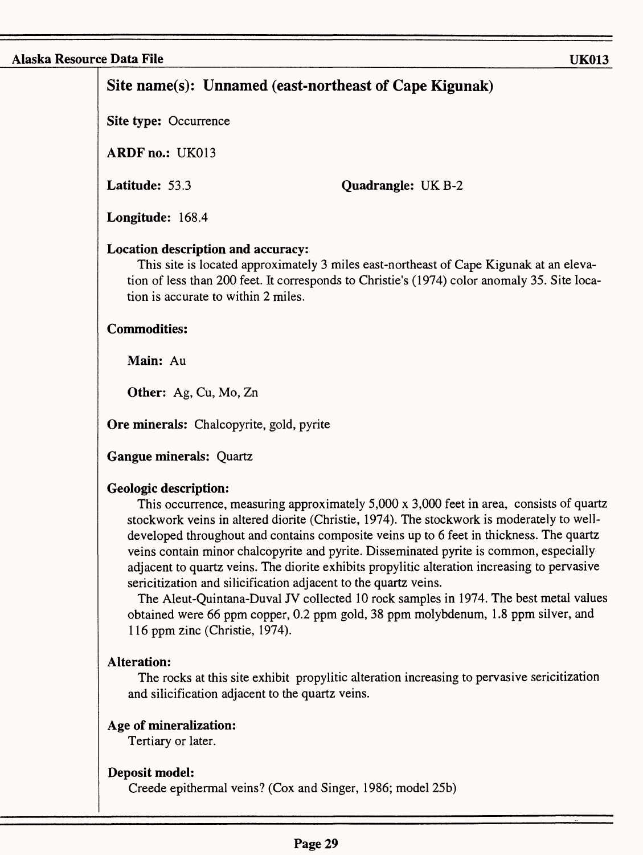# **Site name(s): Unnamed (east-northeast of Cape Kigunak)**

**Site type: Occurrence** 

**ARDF** no.: UK013

**Latitude:** 53.3

**Quadrangle: UK B-2** 

**Longitude:** 168.4

## **Location description and accuracy:**

This site is located approximately 3 miles east-northeast of Cape Kigunak at an elevation of less than 200 feet. It corresponds to Christie's (1974) color anomaly 35. Site location is accurate to within 2 miles.

## **Commodities:**

**Main:** Au

**Other:** Ag, Cu, Mo, Zn

**Ore minerals:** Chalcopyrite, gold, pyrite

**Gangue minerals:** Quartz

## **Geologic description:**

This occurrence, measuring approximately 5,000 x 3,000 feet in area, consists of quartz stockwork veins in altered diorite (Christie, 1974). The stockwork is moderately to welldeveloped throughout and contains composite veins up to 6 feet in thickness. The quartz veins contain minor chalcopyrite and pyrite. Disseminated pyrite is common, especially adjacent to quartz veins. The diorite exhibits propylitic alteration increasing to pervasive sericitization and silicification adjacent to the quartz veins.

The Aleut-Quintana-Duval JV collected 10 rock samples in 1974. The best metal values obtained were 66 ppm copper, 0.2 ppm gold, 38 ppm molybdenum, 1.8 ppm silver, and 116 ppm zinc (Christie, 1974).

## **Alteration:**

The rocks at this site exhibit propylitic alteration increasing to pervasive sericitization and silicification adjacent to the quartz veins.

## **Age of mineralization:**

Tertiary or later.

## **Deposit model:**

Creede epithermal veins? (Cox and Singer, 1986; model 25b)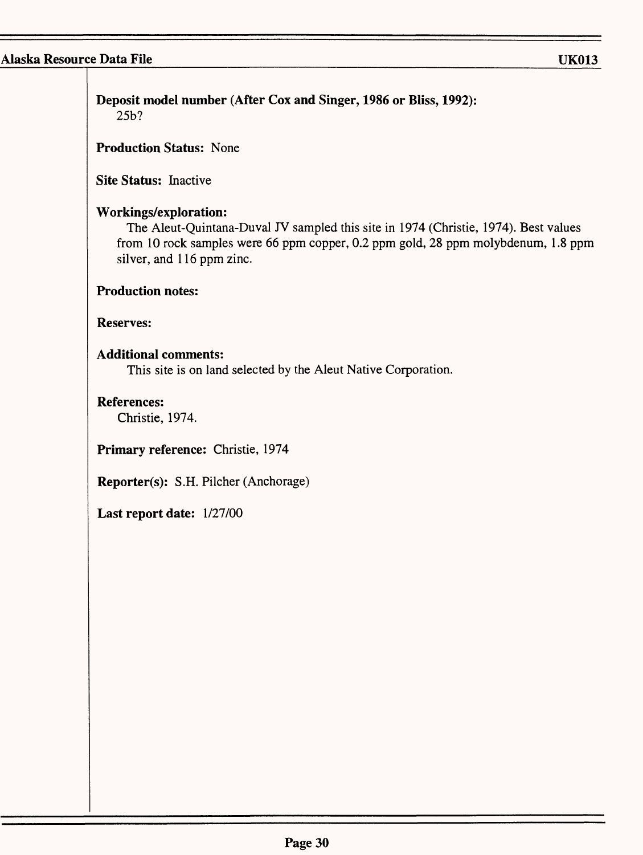| Site Status: Inactive<br><b>Workings/exploration:</b><br>The Aleut-Quintana-Duval JV sampled this site in 1974 (Christie, 1974). Best values<br>from 10 rock samples were 66 ppm copper, 0.2 ppm gold, 28 ppm molybdenum, 1.8 ppm<br>silver, and 116 ppm zinc.<br><b>Production notes:</b><br><b>Reserves:</b><br><b>Additional comments:</b><br>This site is on land selected by the Aleut Native Corporation.<br><b>References:</b><br>Christie, 1974.<br>Primary reference: Christie, 1974<br>Reporter(s): S.H. Pilcher (Anchorage)<br>Last report date: 1/27/00 | <b>Production Status: None</b> |  |
|---------------------------------------------------------------------------------------------------------------------------------------------------------------------------------------------------------------------------------------------------------------------------------------------------------------------------------------------------------------------------------------------------------------------------------------------------------------------------------------------------------------------------------------------------------------------|--------------------------------|--|
|                                                                                                                                                                                                                                                                                                                                                                                                                                                                                                                                                                     |                                |  |
|                                                                                                                                                                                                                                                                                                                                                                                                                                                                                                                                                                     |                                |  |
|                                                                                                                                                                                                                                                                                                                                                                                                                                                                                                                                                                     |                                |  |
|                                                                                                                                                                                                                                                                                                                                                                                                                                                                                                                                                                     |                                |  |
|                                                                                                                                                                                                                                                                                                                                                                                                                                                                                                                                                                     |                                |  |
|                                                                                                                                                                                                                                                                                                                                                                                                                                                                                                                                                                     |                                |  |
|                                                                                                                                                                                                                                                                                                                                                                                                                                                                                                                                                                     |                                |  |
|                                                                                                                                                                                                                                                                                                                                                                                                                                                                                                                                                                     |                                |  |
|                                                                                                                                                                                                                                                                                                                                                                                                                                                                                                                                                                     |                                |  |
|                                                                                                                                                                                                                                                                                                                                                                                                                                                                                                                                                                     |                                |  |
|                                                                                                                                                                                                                                                                                                                                                                                                                                                                                                                                                                     |                                |  |
|                                                                                                                                                                                                                                                                                                                                                                                                                                                                                                                                                                     |                                |  |
|                                                                                                                                                                                                                                                                                                                                                                                                                                                                                                                                                                     |                                |  |
|                                                                                                                                                                                                                                                                                                                                                                                                                                                                                                                                                                     |                                |  |